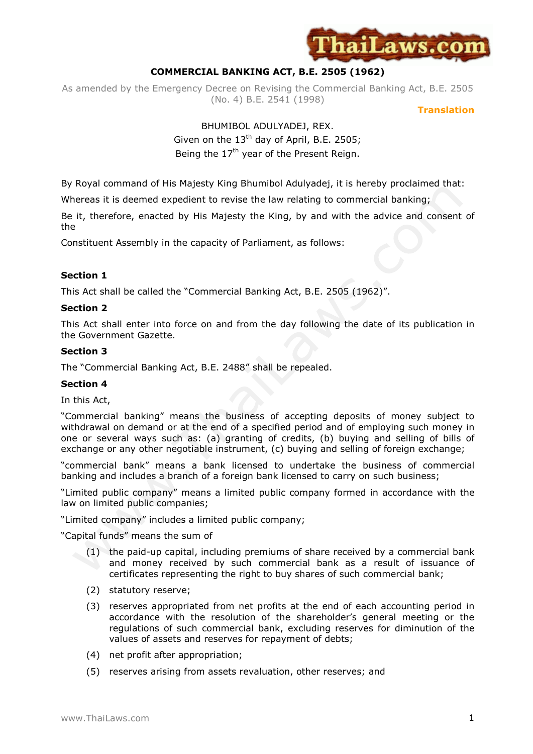

# **COMMERCIAL BANKING ACT, B.E. 2505 (1962)**

As amended by the Emergency Decree on Revising the Commercial Banking Act, B.E. 2505 (No. 4) B.E. 2541 (1998)

**Translation** 

# BHUMIBOL ADULYADEJ, REX. Given on the  $13<sup>th</sup>$  day of April, B.E. 2505; Being the  $17<sup>th</sup>$  year of the Present Reign.

By Royal command of His Majesty King Bhumibol Adulyadej, it is hereby proclaimed that:

Whereas it is deemed expedient to revise the law relating to commercial banking;

Be it, therefore, enacted by His Majesty the King, by and with the advice and consent of the

Constituent Assembly in the capacity of Parliament, as follows:

## **Section 1**

This Act shall be called the "Commercial Banking Act, B.E. 2505 (1962)".

## **Section 2**

This Act shall enter into force on and from the day following the date of its publication in the Government Gazette.

## **Section 3**

The "Commercial Banking Act, B.E. 2488" shall be repealed.

#### **Section 4**

In this Act,

"Commercial banking" means the business of accepting deposits of money subject to withdrawal on demand or at the end of a specified period and of employing such money in one or several ways such as: (a) granting of credits, (b) buying and selling of bills of exchange or any other negotiable instrument, (c) buying and selling of foreign exchange;

"commercial bank" means a bank licensed to undertake the business of commercial banking and includes a branch of a foreign bank licensed to carry on such business;

"Limited public company" means a limited public company formed in accordance with the law on limited public companies;

"Limited company" includes a limited public company;

"Capital funds" means the sum of

- (1) the paid-up capital, including premiums of share received by a commercial bank and money received by such commercial bank as a result of issuance of certificates representing the right to buy shares of such commercial bank;
- (2) statutory reserve;
- (3) reserves appropriated from net profits at the end of each accounting period in accordance with the resolution of the shareholder's general meeting or the regulations of such commercial bank, excluding reserves for diminution of the values of assets and reserves for repayment of debts;
- (4) net profit after appropriation;
- (5) reserves arising from assets revaluation, other reserves; and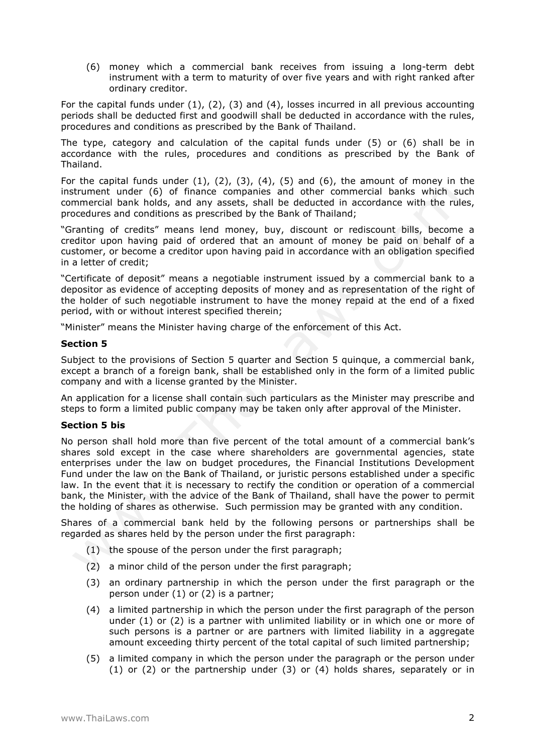(6) money which a commercial bank receives from issuing a long-term debt instrument with a term to maturity of over five years and with right ranked after ordinary creditor.

For the capital funds under  $(1)$ ,  $(2)$ ,  $(3)$  and  $(4)$ , losses incurred in all previous accounting periods shall be deducted first and goodwill shall be deducted in accordance with the rules, procedures and conditions as prescribed by the Bank of Thailand.

The type, category and calculation of the capital funds under (5) or (6) shall be in accordance with the rules, procedures and conditions as prescribed by the Bank of Thailand.

For the capital funds under  $(1)$ ,  $(2)$ ,  $(3)$ ,  $(4)$ ,  $(5)$  and  $(6)$ , the amount of money in the instrument under (6) of finance companies and other commercial banks which such commercial bank holds, and any assets, shall be deducted in accordance with the rules, procedures and conditions as prescribed by the Bank of Thailand;

"Granting of credits" means lend money, buy, discount or rediscount bills, become a creditor upon having paid of ordered that an amount of money be paid on behalf of a customer, or become a creditor upon having paid in accordance with an obligation specified in a letter of credit;

"Certificate of deposit" means a negotiable instrument issued by a commercial bank to a depositor as evidence of accepting deposits of money and as representation of the right of the holder of such negotiable instrument to have the money repaid at the end of a fixed period, with or without interest specified therein;

"Minister" means the Minister having charge of the enforcement of this Act.

### **Section 5**

Subject to the provisions of Section 5 quarter and Section 5 quinque, a commercial bank, except a branch of a foreign bank, shall be established only in the form of a limited public company and with a license granted by the Minister.

An application for a license shall contain such particulars as the Minister may prescribe and steps to form a limited public company may be taken only after approval of the Minister.

## **Section 5 bis**

No person shall hold more than five percent of the total amount of a commercial bank's shares sold except in the case where shareholders are governmental agencies, state enterprises under the law on budget procedures, the Financial Institutions Development Fund under the law on the Bank of Thailand, or juristic persons established under a specific law. In the event that it is necessary to rectify the condition or operation of a commercial bank, the Minister, with the advice of the Bank of Thailand, shall have the power to permit the holding of shares as otherwise. Such permission may be granted with any condition.

Shares of a commercial bank held by the following persons or partnerships shall be regarded as shares held by the person under the first paragraph:

- (1) the spouse of the person under the first paragraph;
- (2) a minor child of the person under the first paragraph;
- (3) an ordinary partnership in which the person under the first paragraph or the person under (1) or (2) is a partner;
- (4) a limited partnership in which the person under the first paragraph of the person under (1) or (2) is a partner with unlimited liability or in which one or more of such persons is a partner or are partners with limited liability in a aggregate amount exceeding thirty percent of the total capital of such limited partnership;
- (5) a limited company in which the person under the paragraph or the person under (1) or (2) or the partnership under (3) or (4) holds shares, separately or in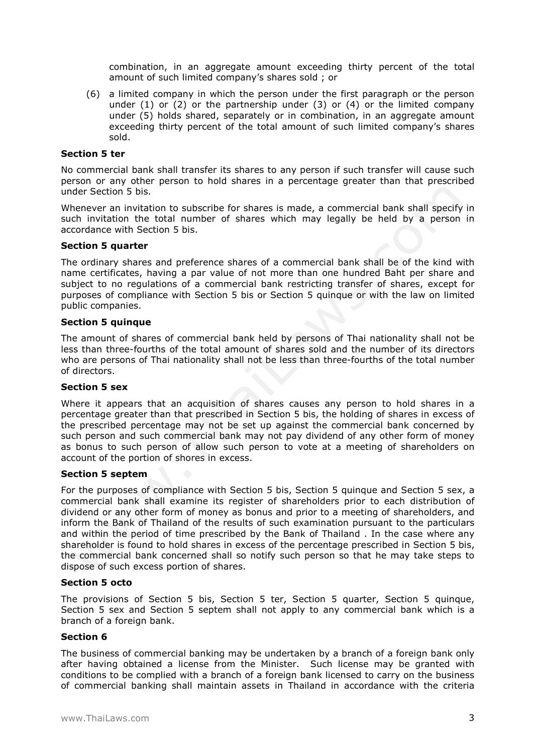combination, in an aggregate amount exceeding thirty percent of the total amount of such limited company's shares sold ; or

(6) a limited company in which the person under the first paragraph or the person under  $(1)$  or  $(2)$  or the partnership under  $(3)$  or  $(4)$  or the limited company under (5) holds shared, separately or in combination, in an aggregate amount exceeding thirty percent of the total amount of such limited company's shares sold.

#### **Section 5 ter**

No commercial bank shall transfer its shares to any person if such transfer will cause such person or any other person to hold shares in a percentage greater than that prescribed under Section 5 bis.

Whenever an invitation to subscribe for shares is made, a commercial bank shall specify in such invitation the total number of shares which may legally be held by a person in accordance with Section 5 bis.

### **Section 5 quarter**

The ordinary shares and preference shares of a commercial bank shall be of the kind with name certificates, having a par value of not more than one hundred Baht per share and subject to no regulations of a commercial bank restricting transfer of shares, except for purposes of compliance with Section 5 bis or Section 5 quinque or with the law on limited public companies.

### **Section 5 quinque**

The amount of shares of commercial bank held by persons of Thai nationality shall not be less than three-fourths of the total amount of shares sold and the number of its directors who are persons of Thai nationality shall not be less than three-fourths of the total number of directors.

### **Section 5 sex**

Where it appears that an acquisition of shares causes any person to hold shares in a percentage greater than that prescribed in Section 5 bis, the holding of shares in excess of the prescribed percentage may not be set up against the commercial bank concerned by such person and such commercial bank may not pay dividend of any other form of money as bonus to such person of allow such person to vote at a meeting of shareholders on account of the portion of shores in excess.

## **Section 5 septem**

For the purposes of compliance with Section 5 bis, Section 5 quinque and Section 5 sex, a commercial bank shall examine its register of shareholders prior to each distribution of dividend or any other form of money as bonus and prior to a meeting of shareholders, and inform the Bank of Thailand of the results of such examination pursuant to the particulars and within the period of time prescribed by the Bank of Thailand . In the case where any shareholder is found to hold shares in excess of the percentage prescribed in Section 5 bis, the commercial bank concerned shall so notify such person so that he may take steps to dispose of such excess portion of shares.

#### **Section 5 octo**

The provisions of Section 5 bis, Section 5 ter, Section 5 quarter, Section 5 quinque, Section 5 sex and Section 5 septem shall not apply to any commercial bank which is a branch of a foreign bank.

## **Section 6**

The business of commercial banking may be undertaken by a branch of a foreign bank only after having obtained a license from the Minister. Such license may be granted with conditions to be complied with a branch of a foreign bank licensed to carry on the business of commercial banking shall maintain assets in Thailand in accordance with the criteria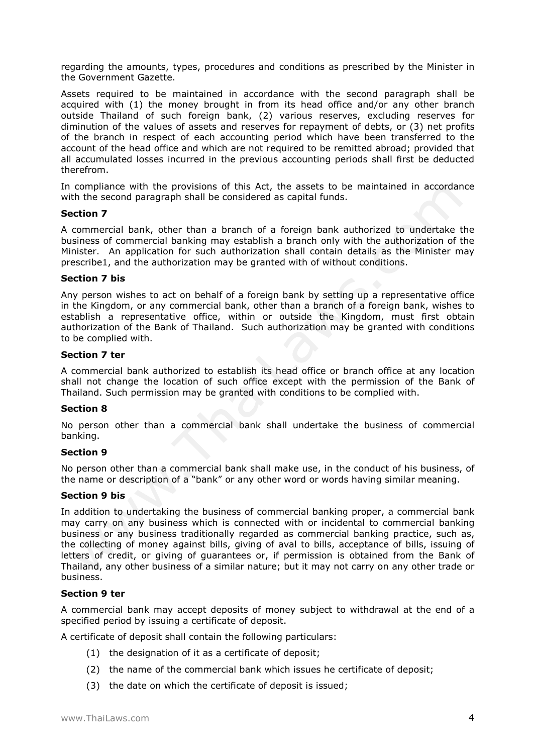regarding the amounts, types, procedures and conditions as prescribed by the Minister in the Government Gazette.

Assets required to be maintained in accordance with the second paragraph shall be acquired with (1) the money brought in from its head office and/or any other branch outside Thailand of such foreign bank, (2) various reserves, excluding reserves for diminution of the values of assets and reserves for repayment of debts, or (3) net profits of the branch in respect of each accounting period which have been transferred to the account of the head office and which are not required to be remitted abroad; provided that all accumulated losses incurred in the previous accounting periods shall first be deducted therefrom.

In compliance with the provisions of this Act, the assets to be maintained in accordance with the second paragraph shall be considered as capital funds.

## **Section 7**

A commercial bank, other than a branch of a foreign bank authorized to undertake the business of commercial banking may establish a branch only with the authorization of the Minister. An application for such authorization shall contain details as the Minister may prescribe1, and the authorization may be granted with of without conditions.

## **Section 7 bis**

Any person wishes to act on behalf of a foreign bank by setting up a representative office in the Kingdom, or any commercial bank, other than a branch of a foreign bank, wishes to establish a representative office, within or outside the Kingdom, must first obtain authorization of the Bank of Thailand. Such authorization may be granted with conditions to be complied with.

## **Section 7 ter**

A commercial bank authorized to establish its head office or branch office at any location shall not change the location of such office except with the permission of the Bank of Thailand. Such permission may be granted with conditions to be complied with.

## **Section 8**

No person other than a commercial bank shall undertake the business of commercial banking.

## **Section 9**

No person other than a commercial bank shall make use, in the conduct of his business, of the name or description of a "bank" or any other word or words having similar meaning.

## **Section 9 bis**

In addition to undertaking the business of commercial banking proper, a commercial bank may carry on any business which is connected with or incidental to commercial banking business or any business traditionally regarded as commercial banking practice, such as, the collecting of money against bills, giving of aval to bills, acceptance of bills, issuing of letters of credit, or giving of guarantees or, if permission is obtained from the Bank of Thailand, any other business of a similar nature; but it may not carry on any other trade or business.

## **Section 9 ter**

A commercial bank may accept deposits of money subject to withdrawal at the end of a specified period by issuing a certificate of deposit.

A certificate of deposit shall contain the following particulars:

- (1) the designation of it as a certificate of deposit;
- (2) the name of the commercial bank which issues he certificate of deposit;
- (3) the date on which the certificate of deposit is issued;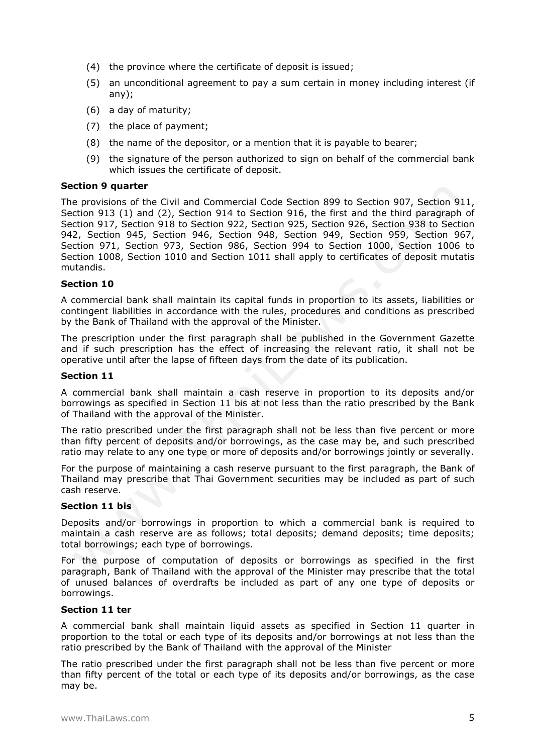- (4) the province where the certificate of deposit is issued;
- (5) an unconditional agreement to pay a sum certain in money including interest (if any);
- (6) a day of maturity;
- (7) the place of payment;
- (8) the name of the depositor, or a mention that it is payable to bearer;
- (9) the signature of the person authorized to sign on behalf of the commercial bank which issues the certificate of deposit.

#### **Section 9 quarter**

The provisions of the Civil and Commercial Code Section 899 to Section 907, Section 911, Section 913 (1) and (2), Section 914 to Section 916, the first and the third paragraph of Section 917, Section 918 to Section 922, Section 925, Section 926, Section 938 to Section 942, Section 945, Section 946, Section 948, Section 949, Section 959, Section 967, Section 971, Section 973, Section 986, Section 994 to Section 1000, Section 1006 to Section 1008, Section 1010 and Section 1011 shall apply to certificates of deposit mutatis mutandis.

### **Section 10**

A commercial bank shall maintain its capital funds in proportion to its assets, liabilities or contingent liabilities in accordance with the rules, procedures and conditions as prescribed by the Bank of Thailand with the approval of the Minister.

The prescription under the first paragraph shall be published in the Government Gazette and if such prescription has the effect of increasing the relevant ratio, it shall not be operative until after the lapse of fifteen days from the date of its publication.

#### **Section 11**

A commercial bank shall maintain a cash reserve in proportion to its deposits and/or borrowings as specified in Section 11 bis at not less than the ratio prescribed by the Bank of Thailand with the approval of the Minister.

The ratio prescribed under the first paragraph shall not be less than five percent or more than fifty percent of deposits and/or borrowings, as the case may be, and such prescribed ratio may relate to any one type or more of deposits and/or borrowings jointly or severally.

For the purpose of maintaining a cash reserve pursuant to the first paragraph, the Bank of Thailand may prescribe that Thai Government securities may be included as part of such cash reserve.

### **Section 11 bis**

Deposits and/or borrowings in proportion to which a commercial bank is required to maintain a cash reserve are as follows; total deposits; demand deposits; time deposits; total borrowings; each type of borrowings.

For the purpose of computation of deposits or borrowings as specified in the first paragraph, Bank of Thailand with the approval of the Minister may prescribe that the total of unused balances of overdrafts be included as part of any one type of deposits or borrowings.

#### **Section 11 ter**

A commercial bank shall maintain liquid assets as specified in Section 11 quarter in proportion to the total or each type of its deposits and/or borrowings at not less than the ratio prescribed by the Bank of Thailand with the approval of the Minister

The ratio prescribed under the first paragraph shall not be less than five percent or more than fifty percent of the total or each type of its deposits and/or borrowings, as the case may be.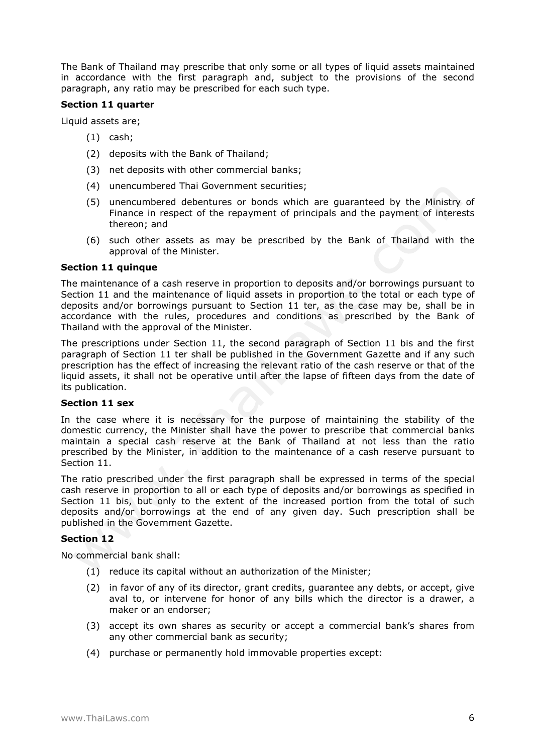The Bank of Thailand may prescribe that only some or all types of liquid assets maintained in accordance with the first paragraph and, subject to the provisions of the second paragraph, any ratio may be prescribed for each such type.

## **Section 11 quarter**

Liquid assets are;

- (1) cash;
- (2) deposits with the Bank of Thailand;
- (3) net deposits with other commercial banks;
- (4) unencumbered Thai Government securities;
- (5) unencumbered debentures or bonds which are guaranteed by the Ministry of Finance in respect of the repayment of principals and the payment of interests thereon; and
- (6) such other assets as may be prescribed by the Bank of Thailand with the approval of the Minister.

## **Section 11 quinque**

The maintenance of a cash reserve in proportion to deposits and/or borrowings pursuant to Section 11 and the maintenance of liquid assets in proportion to the total or each type of deposits and/or borrowings pursuant to Section 11 ter, as the case may be, shall be in accordance with the rules, procedures and conditions as prescribed by the Bank of Thailand with the approval of the Minister.

The prescriptions under Section 11, the second paragraph of Section 11 bis and the first paragraph of Section 11 ter shall be published in the Government Gazette and if any such prescription has the effect of increasing the relevant ratio of the cash reserve or that of the liquid assets, it shall not be operative until after the lapse of fifteen days from the date of its publication.

## **Section 11 sex**

In the case where it is necessary for the purpose of maintaining the stability of the domestic currency, the Minister shall have the power to prescribe that commercial banks maintain a special cash reserve at the Bank of Thailand at not less than the ratio prescribed by the Minister, in addition to the maintenance of a cash reserve pursuant to Section 11.

The ratio prescribed under the first paragraph shall be expressed in terms of the special cash reserve in proportion to all or each type of deposits and/or borrowings as specified in Section 11 bis, but only to the extent of the increased portion from the total of such deposits and/or borrowings at the end of any given day. Such prescription shall be published in the Government Gazette.

## **Section 12**

No commercial bank shall:

- (1) reduce its capital without an authorization of the Minister;
- (2) in favor of any of its director, grant credits, guarantee any debts, or accept, give aval to, or intervene for honor of any bills which the director is a drawer, a maker or an endorser;
- (3) accept its own shares as security or accept a commercial bank's shares from any other commercial bank as security;
- (4) purchase or permanently hold immovable properties except: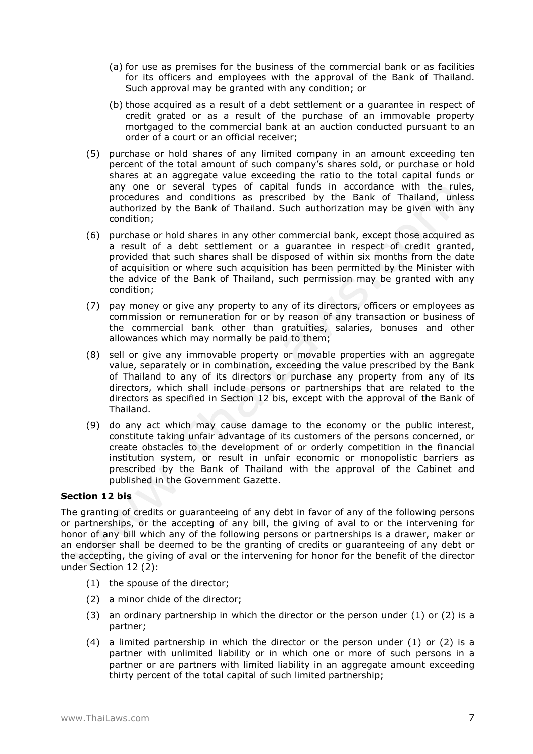- (a) for use as premises for the business of the commercial bank or as facilities for its officers and employees with the approval of the Bank of Thailand. Such approval may be granted with any condition; or
- (b) those acquired as a result of a debt settlement or a guarantee in respect of credit grated or as a result of the purchase of an immovable property mortgaged to the commercial bank at an auction conducted pursuant to an order of a court or an official receiver;
- (5) purchase or hold shares of any limited company in an amount exceeding ten percent of the total amount of such company's shares sold, or purchase or hold shares at an aggregate value exceeding the ratio to the total capital funds or any one or several types of capital funds in accordance with the rules, procedures and conditions as prescribed by the Bank of Thailand, unless authorized by the Bank of Thailand. Such authorization may be given with any condition;
- (6) purchase or hold shares in any other commercial bank, except those acquired as a result of a debt settlement or a guarantee in respect of credit granted, provided that such shares shall be disposed of within six months from the date of acquisition or where such acquisition has been permitted by the Minister with the advice of the Bank of Thailand, such permission may be granted with any condition;
- (7) pay money or give any property to any of its directors, officers or employees as commission or remuneration for or by reason of any transaction or business of the commercial bank other than gratuities, salaries, bonuses and other allowances which may normally be paid to them;
- (8) sell or give any immovable property or movable properties with an aggregate value, separately or in combination, exceeding the value prescribed by the Bank of Thailand to any of its directors or purchase any property from any of its directors, which shall include persons or partnerships that are related to the directors as specified in Section 12 bis, except with the approval of the Bank of Thailand.
- (9) do any act which may cause damage to the economy or the public interest, constitute taking unfair advantage of its customers of the persons concerned, or create obstacles to the development of or orderly competition in the financial institution system, or result in unfair economic or monopolistic barriers as prescribed by the Bank of Thailand with the approval of the Cabinet and published in the Government Gazette.

## **Section 12 bis**

The granting of credits or guaranteeing of any debt in favor of any of the following persons or partnerships, or the accepting of any bill, the giving of aval to or the intervening for honor of any bill which any of the following persons or partnerships is a drawer, maker or an endorser shall be deemed to be the granting of credits or guaranteeing of any debt or the accepting, the giving of aval or the intervening for honor for the benefit of the director under Section 12 (2):

- (1) the spouse of the director;
- (2) a minor chide of the director;
- (3) an ordinary partnership in which the director or the person under (1) or (2) is a partner;
- $(4)$  a limited partnership in which the director or the person under  $(1)$  or  $(2)$  is a partner with unlimited liability or in which one or more of such persons in a partner or are partners with limited liability in an aggregate amount exceeding thirty percent of the total capital of such limited partnership;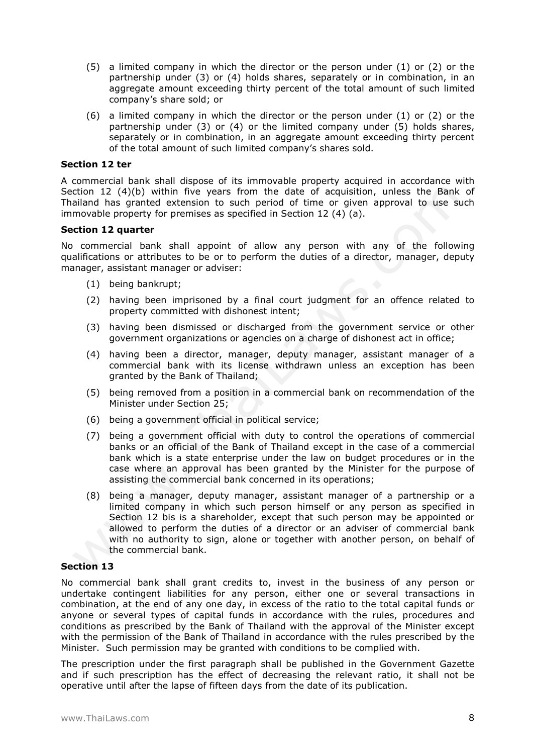- (5) a limited company in which the director or the person under (1) or (2) or the partnership under (3) or (4) holds shares, separately or in combination, in an aggregate amount exceeding thirty percent of the total amount of such limited company's share sold; or
- (6) a limited company in which the director or the person under (1) or (2) or the partnership under (3) or (4) or the limited company under (5) holds shares, separately or in combination, in an aggregate amount exceeding thirty percent of the total amount of such limited company's shares sold.

## **Section 12 ter**

A commercial bank shall dispose of its immovable property acquired in accordance with Section 12 (4)(b) within five years from the date of acquisition, unless the Bank of Thailand has granted extension to such period of time or given approval to use such immovable property for premises as specified in Section 12 (4) (a).

## **Section 12 quarter**

No commercial bank shall appoint of allow any person with any of the following qualifications or attributes to be or to perform the duties of a director, manager, deputy manager, assistant manager or adviser:

- (1) being bankrupt;
- (2) having been imprisoned by a final court judgment for an offence related to property committed with dishonest intent;
- (3) having been dismissed or discharged from the government service or other government organizations or agencies on a charge of dishonest act in office;
- (4) having been a director, manager, deputy manager, assistant manager of a commercial bank with its license withdrawn unless an exception has been granted by the Bank of Thailand;
- (5) being removed from a position in a commercial bank on recommendation of the Minister under Section 25;
- (6) being a government official in political service;
- (7) being a government official with duty to control the operations of commercial banks or an official of the Bank of Thailand except in the case of a commercial bank which is a state enterprise under the law on budget procedures or in the case where an approval has been granted by the Minister for the purpose of assisting the commercial bank concerned in its operations;
- (8) being a manager, deputy manager, assistant manager of a partnership or a limited company in which such person himself or any person as specified in Section 12 bis is a shareholder, except that such person may be appointed or allowed to perform the duties of a director or an adviser of commercial bank with no authority to sign, alone or together with another person, on behalf of the commercial bank.

## **Section 13**

No commercial bank shall grant credits to, invest in the business of any person or undertake contingent liabilities for any person, either one or several transactions in combination, at the end of any one day, in excess of the ratio to the total capital funds or anyone or several types of capital funds in accordance with the rules, procedures and conditions as prescribed by the Bank of Thailand with the approval of the Minister except with the permission of the Bank of Thailand in accordance with the rules prescribed by the Minister. Such permission may be granted with conditions to be complied with.

The prescription under the first paragraph shall be published in the Government Gazette and if such prescription has the effect of decreasing the relevant ratio, it shall not be operative until after the lapse of fifteen days from the date of its publication.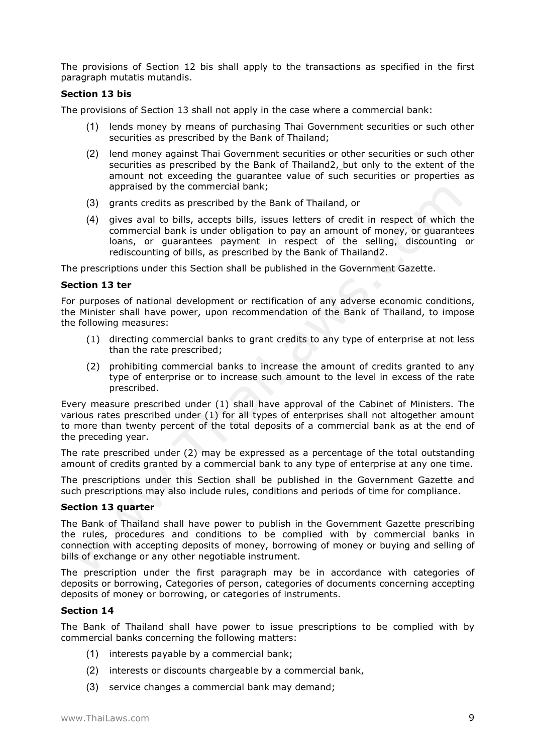The provisions of Section 12 bis shall apply to the transactions as specified in the first paragraph mutatis mutandis.

## **Section 13 bis**

The provisions of Section 13 shall not apply in the case where a commercial bank:

- (1) lends money by means of purchasing Thai Government securities or such other securities as prescribed by the Bank of Thailand;
- (2) lend money against Thai Government securities or other securities or such other securities as prescribed by the Bank of Thailand2, but only to the extent of the amount not exceeding the guarantee value of such securities or properties as appraised by the commercial bank;
- (3) grants credits as prescribed by the Bank of Thailand, or
- (4) gives aval to bills, accepts bills, issues letters of credit in respect of which the commercial bank is under obligation to pay an amount of money, or guarantees loans, or guarantees payment in respect of the selling, discounting or rediscounting of bills, as prescribed by the Bank of Thailand2.

The prescriptions under this Section shall be published in the Government Gazette.

### **Section 13 ter**

For purposes of national development or rectification of any adverse economic conditions, the Minister shall have power, upon recommendation of the Bank of Thailand, to impose the following measures:

- (1) directing commercial banks to grant credits to any type of enterprise at not less than the rate prescribed;
- (2) prohibiting commercial banks to increase the amount of credits granted to any type of enterprise or to increase such amount to the level in excess of the rate prescribed.

Every measure prescribed under (1) shall have approval of the Cabinet of Ministers. The various rates prescribed under (1) for all types of enterprises shall not altogether amount to more than twenty percent of the total deposits of a commercial bank as at the end of the preceding year.

The rate prescribed under (2) may be expressed as a percentage of the total outstanding amount of credits granted by a commercial bank to any type of enterprise at any one time.

The prescriptions under this Section shall be published in the Government Gazette and such prescriptions may also include rules, conditions and periods of time for compliance.

## **Section 13 quarter**

The Bank of Thailand shall have power to publish in the Government Gazette prescribing the rules, procedures and conditions to be complied with by commercial banks in connection with accepting deposits of money, borrowing of money or buying and selling of bills of exchange or any other negotiable instrument.

The prescription under the first paragraph may be in accordance with categories of deposits or borrowing, Categories of person, categories of documents concerning accepting deposits of money or borrowing, or categories of instruments.

## **Section 14**

The Bank of Thailand shall have power to issue prescriptions to be complied with by commercial banks concerning the following matters:

- (1) interests payable by a commercial bank;
- (2) interests or discounts chargeable by a commercial bank,
- (3) service changes a commercial bank may demand;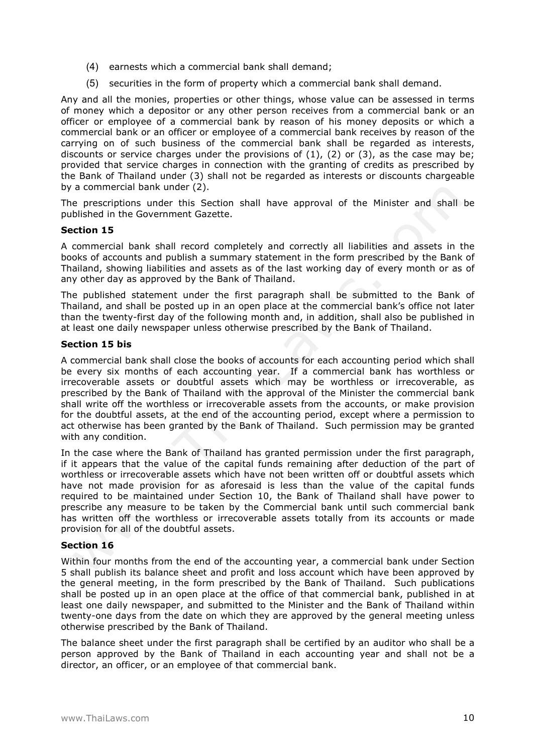- (4) earnests which a commercial bank shall demand;
- (5) securities in the form of property which a commercial bank shall demand.

Any and all the monies, properties or other things, whose value can be assessed in terms of money which a depositor or any other person receives from a commercial bank or an officer or employee of a commercial bank by reason of his money deposits or which a commercial bank or an officer or employee of a commercial bank receives by reason of the carrying on of such business of the commercial bank shall be regarded as interests, discounts or service charges under the provisions of  $(1)$ ,  $(2)$  or  $(3)$ , as the case may be; provided that service charges in connection with the granting of credits as prescribed by the Bank of Thailand under (3) shall not be regarded as interests or discounts chargeable by a commercial bank under (2).

The prescriptions under this Section shall have approval of the Minister and shall be published in the Government Gazette.

## **Section 15**

A commercial bank shall record completely and correctly all liabilities and assets in the books of accounts and publish a summary statement in the form prescribed by the Bank of Thailand, showing liabilities and assets as of the last working day of every month or as of any other day as approved by the Bank of Thailand.

The published statement under the first paragraph shall be submitted to the Bank of Thailand, and shall be posted up in an open place at the commercial bank's office not later than the twenty-first day of the following month and, in addition, shall also be published in at least one daily newspaper unless otherwise prescribed by the Bank of Thailand.

## **Section 15 bis**

A commercial bank shall close the books of accounts for each accounting period which shall be every six months of each accounting year. If a commercial bank has worthless or irrecoverable assets or doubtful assets which may be worthless or irrecoverable, as prescribed by the Bank of Thailand with the approval of the Minister the commercial bank shall write off the worthless or irrecoverable assets from the accounts, or make provision for the doubtful assets, at the end of the accounting period, except where a permission to act otherwise has been granted by the Bank of Thailand. Such permission may be granted with any condition.

In the case where the Bank of Thailand has granted permission under the first paragraph, if it appears that the value of the capital funds remaining after deduction of the part of worthless or irrecoverable assets which have not been written off or doubtful assets which have not made provision for as aforesaid is less than the value of the capital funds required to be maintained under Section 10, the Bank of Thailand shall have power to prescribe any measure to be taken by the Commercial bank until such commercial bank has written off the worthless or irrecoverable assets totally from its accounts or made provision for all of the doubtful assets.

## **Section 16**

Within four months from the end of the accounting year, a commercial bank under Section 5 shall publish its balance sheet and profit and loss account which have been approved by the general meeting, in the form prescribed by the Bank of Thailand. Such publications shall be posted up in an open place at the office of that commercial bank, published in at least one daily newspaper, and submitted to the Minister and the Bank of Thailand within twenty-one days from the date on which they are approved by the general meeting unless otherwise prescribed by the Bank of Thailand.

The balance sheet under the first paragraph shall be certified by an auditor who shall be a person approved by the Bank of Thailand in each accounting year and shall not be a director, an officer, or an employee of that commercial bank.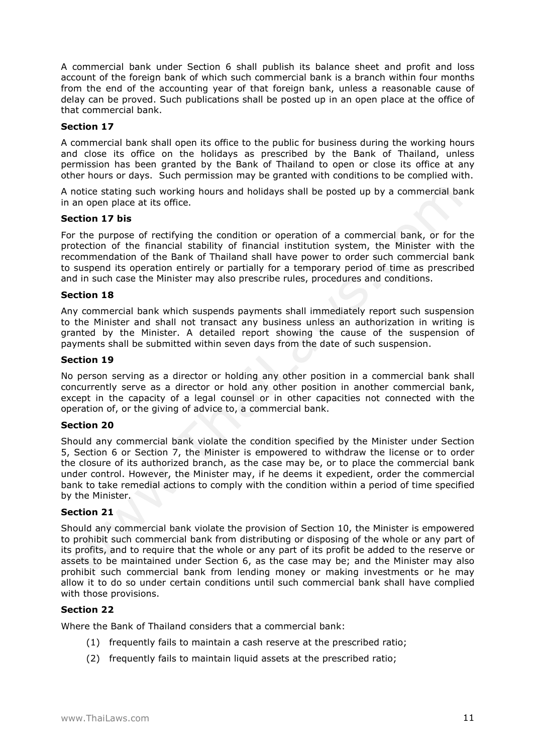A commercial bank under Section 6 shall publish its balance sheet and profit and loss account of the foreign bank of which such commercial bank is a branch within four months from the end of the accounting year of that foreign bank, unless a reasonable cause of delay can be proved. Such publications shall be posted up in an open place at the office of that commercial bank.

## **Section 17**

A commercial bank shall open its office to the public for business during the working hours and close its office on the holidays as prescribed by the Bank of Thailand, unless permission has been granted by the Bank of Thailand to open or close its office at any other hours or days. Such permission may be granted with conditions to be complied with.

A notice stating such working hours and holidays shall be posted up by a commercial bank in an open place at its office.

## **Section 17 bis**

For the purpose of rectifying the condition or operation of a commercial bank, or for the protection of the financial stability of financial institution system, the Minister with the recommendation of the Bank of Thailand shall have power to order such commercial bank to suspend its operation entirely or partially for a temporary period of time as prescribed and in such case the Minister may also prescribe rules, procedures and conditions.

## **Section 18**

Any commercial bank which suspends payments shall immediately report such suspension to the Minister and shall not transact any business unless an authorization in writing is granted by the Minister. A detailed report showing the cause of the suspension of payments shall be submitted within seven days from the date of such suspension.

### **Section 19**

No person serving as a director or holding any other position in a commercial bank shall concurrently serve as a director or hold any other position in another commercial bank, except in the capacity of a legal counsel or in other capacities not connected with the operation of, or the giving of advice to, a commercial bank.

## **Section 20**

Should any commercial bank violate the condition specified by the Minister under Section 5, Section 6 or Section 7, the Minister is empowered to withdraw the license or to order the closure of its authorized branch, as the case may be, or to place the commercial bank under control. However, the Minister may, if he deems it expedient, order the commercial bank to take remedial actions to comply with the condition within a period of time specified by the Minister.

## **Section 21**

Should any commercial bank violate the provision of Section 10, the Minister is empowered to prohibit such commercial bank from distributing or disposing of the whole or any part of its profits, and to require that the whole or any part of its profit be added to the reserve or assets to be maintained under Section 6, as the case may be; and the Minister may also prohibit such commercial bank from lending money or making investments or he may allow it to do so under certain conditions until such commercial bank shall have complied with those provisions.

## **Section 22**

Where the Bank of Thailand considers that a commercial bank:

- (1) frequently fails to maintain a cash reserve at the prescribed ratio;
- (2) frequently fails to maintain liquid assets at the prescribed ratio;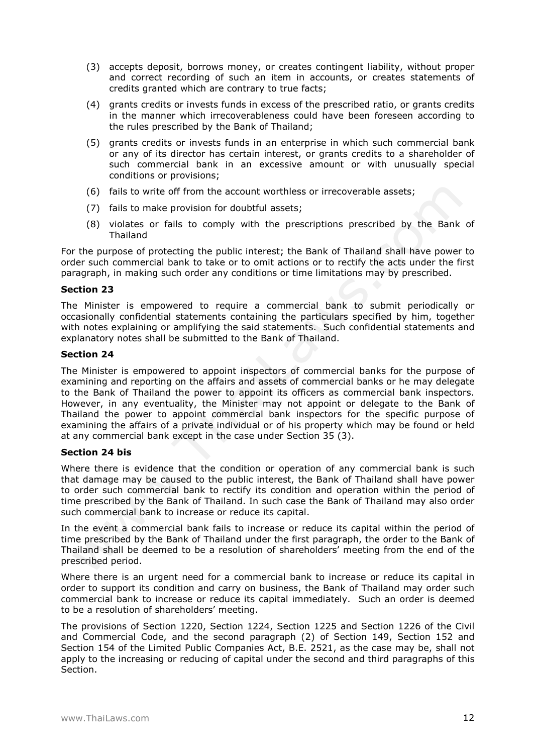- (3) accepts deposit, borrows money, or creates contingent liability, without proper and correct recording of such an item in accounts, or creates statements of credits granted which are contrary to true facts;
- (4) grants credits or invests funds in excess of the prescribed ratio, or grants credits in the manner which irrecoverableness could have been foreseen according to the rules prescribed by the Bank of Thailand;
- (5) grants credits or invests funds in an enterprise in which such commercial bank or any of its director has certain interest, or grants credits to a shareholder of such commercial bank in an excessive amount or with unusually special conditions or provisions;
- (6) fails to write off from the account worthless or irrecoverable assets;
- (7) fails to make provision for doubtful assets;
- (8) violates or fails to comply with the prescriptions prescribed by the Bank of Thailand

For the purpose of protecting the public interest; the Bank of Thailand shall have power to order such commercial bank to take or to omit actions or to rectify the acts under the first paragraph, in making such order any conditions or time limitations may by prescribed.

## **Section 23**

The Minister is empowered to require a commercial bank to submit periodically or occasionally confidential statements containing the particulars specified by him, together with notes explaining or amplifying the said statements. Such confidential statements and explanatory notes shall be submitted to the Bank of Thailand.

## **Section 24**

The Minister is empowered to appoint inspectors of commercial banks for the purpose of examining and reporting on the affairs and assets of commercial banks or he may delegate to the Bank of Thailand the power to appoint its officers as commercial bank inspectors. However, in any eventuality, the Minister may not appoint or delegate to the Bank of Thailand the power to appoint commercial bank inspectors for the specific purpose of examining the affairs of a private individual or of his property which may be found or held at any commercial bank except in the case under Section 35 (3).

## **Section 24 bis**

Where there is evidence that the condition or operation of any commercial bank is such that damage may be caused to the public interest, the Bank of Thailand shall have power to order such commercial bank to rectify its condition and operation within the period of time prescribed by the Bank of Thailand. In such case the Bank of Thailand may also order such commercial bank to increase or reduce its capital.

In the event a commercial bank fails to increase or reduce its capital within the period of time prescribed by the Bank of Thailand under the first paragraph, the order to the Bank of Thailand shall be deemed to be a resolution of shareholders' meeting from the end of the prescribed period.

Where there is an urgent need for a commercial bank to increase or reduce its capital in order to support its condition and carry on business, the Bank of Thailand may order such commercial bank to increase or reduce its capital immediately. Such an order is deemed to be a resolution of shareholders' meeting.

The provisions of Section 1220, Section 1224, Section 1225 and Section 1226 of the Civil and Commercial Code, and the second paragraph (2) of Section 149, Section 152 and Section 154 of the Limited Public Companies Act, B.E. 2521, as the case may be, shall not apply to the increasing or reducing of capital under the second and third paragraphs of this Section.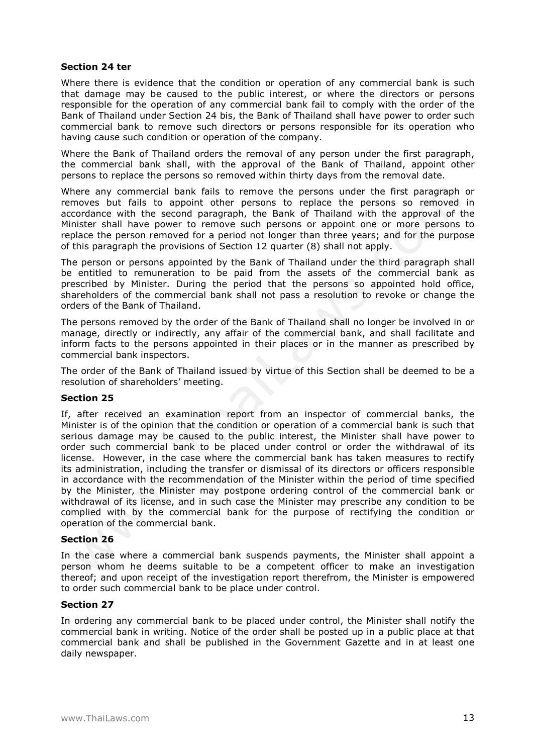## **Section 24 ter**

Where there is evidence that the condition or operation of any commercial bank is such that damage may be caused to the public interest, or where the directors or persons responsible for the operation of any commercial bank fail to comply with the order of the Bank of Thailand under Section 24 bis, the Bank of Thailand shall have power to order such commercial bank to remove such directors or persons responsible for its operation who having cause such condition or operation of the company.

Where the Bank of Thailand orders the removal of any person under the first paragraph, the commercial bank shall, with the approval of the Bank of Thailand, appoint other persons to replace the persons so removed within thirty days from the removal date.

Where any commercial bank fails to remove the persons under the first paragraph or removes but fails to appoint other persons to replace the persons so removed in accordance with the second paragraph, the Bank of Thailand with the approval of the Minister shall have power to remove such persons or appoint one or more persons to replace the person removed for a period not longer than three years; and for the purpose of this paragraph the provisions of Section 12 quarter (8) shall not apply.

The person or persons appointed by the Bank of Thailand under the third paragraph shall be entitled to remuneration to be paid from the assets of the commercial bank as prescribed by Minister. During the period that the persons so appointed hold office, shareholders of the commercial bank shall not pass a resolution to revoke or change the orders of the Bank of Thailand.

The persons removed by the order of the Bank of Thailand shall no longer be involved in or manage, directly or indirectly, any affair of the commercial bank, and shall facilitate and inform facts to the persons appointed in their places or in the manner as prescribed by commercial bank inspectors.

The order of the Bank of Thailand issued by virtue of this Section shall be deemed to be a resolution of shareholders' meeting.

## **Section 25**

If, after received an examination report from an inspector of commercial banks, the Minister is of the opinion that the condition or operation of a commercial bank is such that serious damage may be caused to the public interest, the Minister shall have power to order such commercial bank to be placed under control or order the withdrawal of its license. However, in the case where the commercial bank has taken measures to rectify its administration, including the transfer or dismissal of its directors or officers responsible in accordance with the recommendation of the Minister within the period of time specified by the Minister, the Minister may postpone ordering control of the commercial bank or withdrawal of its license, and in such case the Minister may prescribe any condition to be complied with by the commercial bank for the purpose of rectifying the condition or operation of the commercial bank.

## **Section 26**

In the case where a commercial bank suspends payments, the Minister shall appoint a person whom he deems suitable to be a competent officer to make an investigation thereof; and upon receipt of the investigation report therefrom, the Minister is empowered to order such commercial bank to be place under control.

## **Section 27**

In ordering any commercial bank to be placed under control, the Minister shall notify the commercial bank in writing. Notice of the order shall be posted up in a public place at that commercial bank and shall be published in the Government Gazette and in at least one daily newspaper.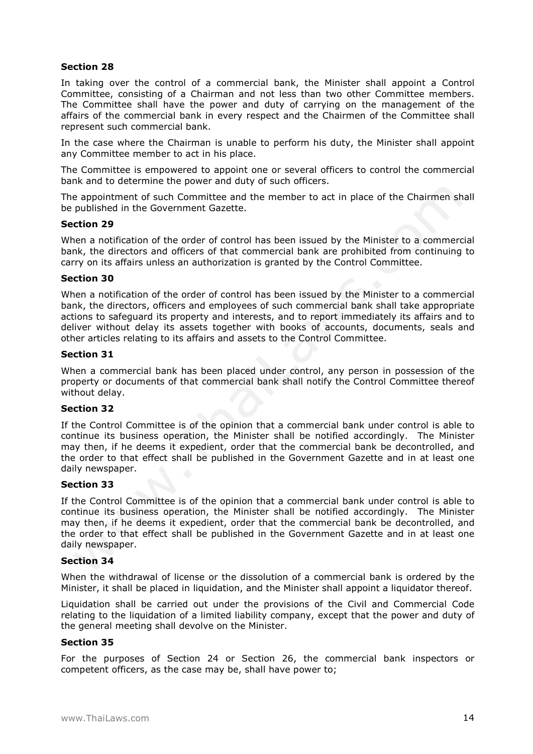## **Section 28**

In taking over the control of a commercial bank, the Minister shall appoint a Control Committee, consisting of a Chairman and not less than two other Committee members. The Committee shall have the power and duty of carrying on the management of the affairs of the commercial bank in every respect and the Chairmen of the Committee shall represent such commercial bank.

In the case where the Chairman is unable to perform his duty, the Minister shall appoint any Committee member to act in his place.

The Committee is empowered to appoint one or several officers to control the commercial bank and to determine the power and duty of such officers.

The appointment of such Committee and the member to act in place of the Chairmen shall be published in the Government Gazette.

### **Section 29**

When a notification of the order of control has been issued by the Minister to a commercial bank, the directors and officers of that commercial bank are prohibited from continuing to carry on its affairs unless an authorization is granted by the Control Committee.

### **Section 30**

When a notification of the order of control has been issued by the Minister to a commercial bank, the directors, officers and employees of such commercial bank shall take appropriate actions to safeguard its property and interests, and to report immediately its affairs and to deliver without delay its assets together with books of accounts, documents, seals and other articles relating to its affairs and assets to the Control Committee.

## **Section 31**

When a commercial bank has been placed under control, any person in possession of the property or documents of that commercial bank shall notify the Control Committee thereof without delay.

## **Section 32**

If the Control Committee is of the opinion that a commercial bank under control is able to continue its business operation, the Minister shall be notified accordingly. The Minister may then, if he deems it expedient, order that the commercial bank be decontrolled, and the order to that effect shall be published in the Government Gazette and in at least one daily newspaper.

## **Section 33**

If the Control Committee is of the opinion that a commercial bank under control is able to continue its business operation, the Minister shall be notified accordingly. The Minister may then, if he deems it expedient, order that the commercial bank be decontrolled, and the order to that effect shall be published in the Government Gazette and in at least one daily newspaper.

## **Section 34**

When the withdrawal of license or the dissolution of a commercial bank is ordered by the Minister, it shall be placed in liquidation, and the Minister shall appoint a liquidator thereof.

Liquidation shall be carried out under the provisions of the Civil and Commercial Code relating to the liquidation of a limited liability company, except that the power and duty of the general meeting shall devolve on the Minister.

## **Section 35**

For the purposes of Section 24 or Section 26, the commercial bank inspectors or competent officers, as the case may be, shall have power to;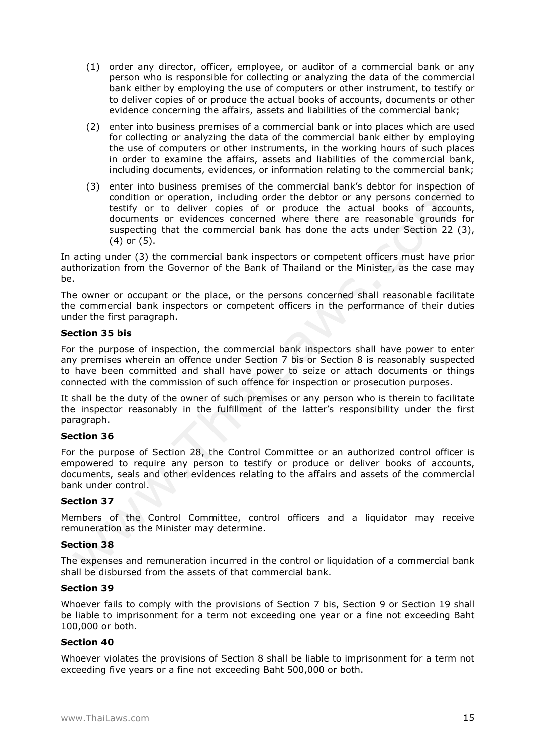- (1) order any director, officer, employee, or auditor of a commercial bank or any person who is responsible for collecting or analyzing the data of the commercial bank either by employing the use of computers or other instrument, to testify or to deliver copies of or produce the actual books of accounts, documents or other evidence concerning the affairs, assets and liabilities of the commercial bank;
- (2) enter into business premises of a commercial bank or into places which are used for collecting or analyzing the data of the commercial bank either by employing the use of computers or other instruments, in the working hours of such places in order to examine the affairs, assets and liabilities of the commercial bank, including documents, evidences, or information relating to the commercial bank;
- (3) enter into business premises of the commercial bank's debtor for inspection of condition or operation, including order the debtor or any persons concerned to testify or to deliver copies of or produce the actual books of accounts, documents or evidences concerned where there are reasonable grounds for suspecting that the commercial bank has done the acts under Section 22 (3), (4) or (5).

In acting under (3) the commercial bank inspectors or competent officers must have prior authorization from the Governor of the Bank of Thailand or the Minister, as the case may be.

The owner or occupant or the place, or the persons concerned shall reasonable facilitate the commercial bank inspectors or competent officers in the performance of their duties under the first paragraph.

## **Section 35 bis**

For the purpose of inspection, the commercial bank inspectors shall have power to enter any premises wherein an offence under Section 7 bis or Section 8 is reasonably suspected to have been committed and shall have power to seize or attach documents or things connected with the commission of such offence for inspection or prosecution purposes.

It shall be the duty of the owner of such premises or any person who is therein to facilitate the inspector reasonably in the fulfillment of the latter's responsibility under the first paragraph.

## **Section 36**

For the purpose of Section 28, the Control Committee or an authorized control officer is empowered to require any person to testify or produce or deliver books of accounts, documents, seals and other evidences relating to the affairs and assets of the commercial bank under control.

## **Section 37**

Members of the Control Committee, control officers and a liquidator may receive remuneration as the Minister may determine.

## **Section 38**

The expenses and remuneration incurred in the control or liquidation of a commercial bank shall be disbursed from the assets of that commercial bank.

## **Section 39**

Whoever fails to comply with the provisions of Section 7 bis, Section 9 or Section 19 shall be liable to imprisonment for a term not exceeding one year or a fine not exceeding Baht 100,000 or both.

## **Section 40**

Whoever violates the provisions of Section 8 shall be liable to imprisonment for a term not exceeding five years or a fine not exceeding Baht 500,000 or both.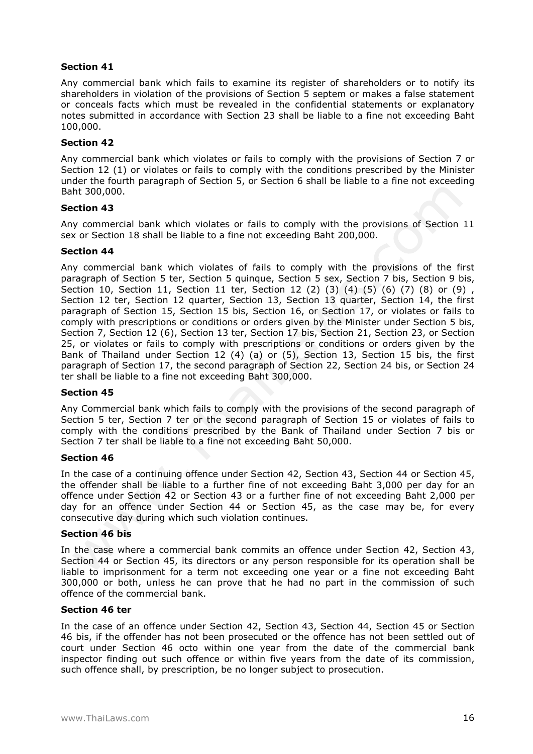## **Section 41**

Any commercial bank which fails to examine its register of shareholders or to notify its shareholders in violation of the provisions of Section 5 septem or makes a false statement or conceals facts which must be revealed in the confidential statements or explanatory notes submitted in accordance with Section 23 shall be liable to a fine not exceeding Baht 100,000.

## **Section 42**

Any commercial bank which violates or fails to comply with the provisions of Section 7 or Section 12 (1) or violates or fails to comply with the conditions prescribed by the Minister under the fourth paragraph of Section 5, or Section 6 shall be liable to a fine not exceeding Baht 300,000.

## **Section 43**

Any commercial bank which violates or fails to comply with the provisions of Section 11 sex or Section 18 shall be liable to a fine not exceeding Baht 200,000.

## **Section 44**

Any commercial bank which violates of fails to comply with the provisions of the first paragraph of Section 5 ter, Section 5 quinque, Section 5 sex, Section 7 bis, Section 9 bis, Section 10, Section 11, Section 11 ter, Section 12 (2) (3) (4) (5) (6) (7) (8) or (9) , Section 12 ter, Section 12 quarter, Section 13, Section 13 quarter, Section 14, the first paragraph of Section 15, Section 15 bis, Section 16, or Section 17, or violates or fails to comply with prescriptions or conditions or orders given by the Minister under Section 5 bis, Section 7, Section 12 (6), Section 13 ter, Section 17 bis, Section 21, Section 23, or Section 25, or violates or fails to comply with prescriptions or conditions or orders given by the Bank of Thailand under Section 12 (4) (a) or (5), Section 13, Section 15 bis, the first paragraph of Section 17, the second paragraph of Section 22, Section 24 bis, or Section 24 ter shall be liable to a fine not exceeding Baht 300,000.

## **Section 45**

Any Commercial bank which fails to comply with the provisions of the second paragraph of Section 5 ter, Section 7 ter or the second paragraph of Section 15 or violates of fails to comply with the conditions prescribed by the Bank of Thailand under Section 7 bis or Section 7 ter shall be liable to a fine not exceeding Baht 50,000.

## **Section 46**

In the case of a continuing offence under Section 42, Section 43, Section 44 or Section 45, the offender shall be liable to a further fine of not exceeding Baht 3,000 per day for an offence under Section 42 or Section 43 or a further fine of not exceeding Baht 2,000 per day for an offence under Section 44 or Section 45, as the case may be, for every consecutive day during which such violation continues.

## **Section 46 bis**

In the case where a commercial bank commits an offence under Section 42, Section 43, Section 44 or Section 45, its directors or any person responsible for its operation shall be liable to imprisonment for a term not exceeding one year or a fine not exceeding Baht 300,000 or both, unless he can prove that he had no part in the commission of such offence of the commercial bank.

#### **Section 46 ter**

In the case of an offence under Section 42, Section 43, Section 44, Section 45 or Section 46 bis, if the offender has not been prosecuted or the offence has not been settled out of court under Section 46 octo within one year from the date of the commercial bank inspector finding out such offence or within five years from the date of its commission, such offence shall, by prescription, be no longer subject to prosecution.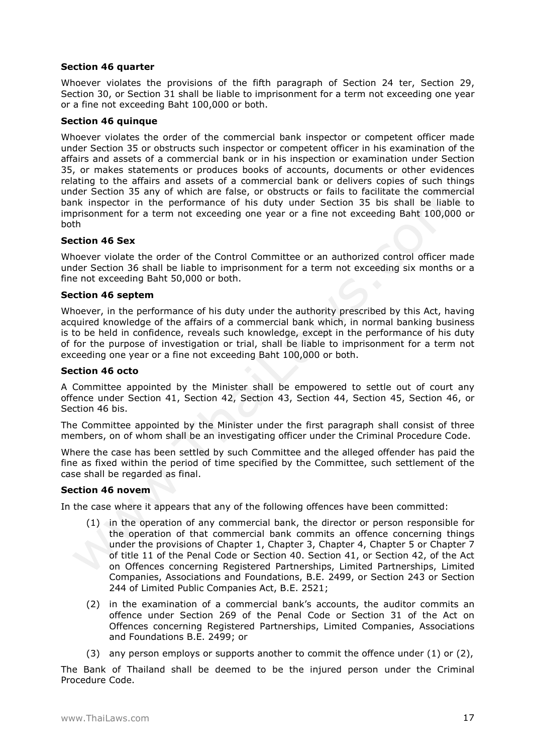## **Section 46 quarter**

Whoever violates the provisions of the fifth paragraph of Section 24 ter, Section 29, Section 30, or Section 31 shall be liable to imprisonment for a term not exceeding one year or a fine not exceeding Baht 100,000 or both.

## **Section 46 quinque**

Whoever violates the order of the commercial bank inspector or competent officer made under Section 35 or obstructs such inspector or competent officer in his examination of the affairs and assets of a commercial bank or in his inspection or examination under Section 35, or makes statements or produces books of accounts, documents or other evidences relating to the affairs and assets of a commercial bank or delivers copies of such things under Section 35 any of which are false, or obstructs or fails to facilitate the commercial bank inspector in the performance of his duty under Section 35 bis shall be liable to imprisonment for a term not exceeding one year or a fine not exceeding Baht 100,000 or both

## **Section 46 Sex**

Whoever violate the order of the Control Committee or an authorized control officer made under Section 36 shall be liable to imprisonment for a term not exceeding six months or a fine not exceeding Baht 50,000 or both.

## **Section 46 septem**

Whoever, in the performance of his duty under the authority prescribed by this Act, having acquired knowledge of the affairs of a commercial bank which, in normal banking business is to be held in confidence, reveals such knowledge, except in the performance of his duty of for the purpose of investigation or trial, shall be liable to imprisonment for a term not exceeding one year or a fine not exceeding Baht 100,000 or both.

## **Section 46 octo**

A Committee appointed by the Minister shall be empowered to settle out of court any offence under Section 41, Section 42, Section 43, Section 44, Section 45, Section 46, or Section 46 bis.

The Committee appointed by the Minister under the first paragraph shall consist of three members, on of whom shall be an investigating officer under the Criminal Procedure Code.

Where the case has been settled by such Committee and the alleged offender has paid the fine as fixed within the period of time specified by the Committee, such settlement of the case shall be regarded as final.

## **Section 46 novem**

In the case where it appears that any of the following offences have been committed:

- (1) in the operation of any commercial bank, the director or person responsible for the operation of that commercial bank commits an offence concerning things under the provisions of Chapter 1, Chapter 3, Chapter 4, Chapter 5 or Chapter 7 of title 11 of the Penal Code or Section 40. Section 41, or Section 42, of the Act on Offences concerning Registered Partnerships, Limited Partnerships, Limited Companies, Associations and Foundations, B.E. 2499, or Section 243 or Section 244 of Limited Public Companies Act, B.E. 2521;
- (2) in the examination of a commercial bank's accounts, the auditor commits an offence under Section 269 of the Penal Code or Section 31 of the Act on Offences concerning Registered Partnerships, Limited Companies, Associations and Foundations B.E. 2499; or
- (3) any person employs or supports another to commit the offence under  $(1)$  or  $(2)$ ,

The Bank of Thailand shall be deemed to be the injured person under the Criminal Procedure Code.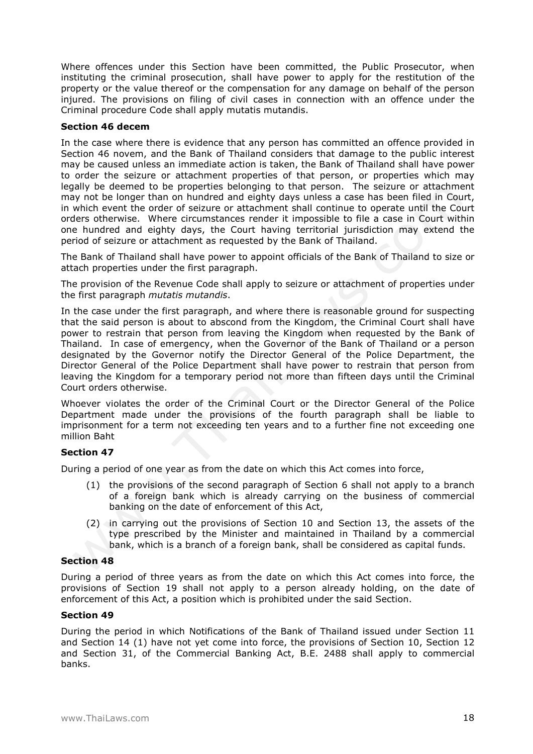Where offences under this Section have been committed, the Public Prosecutor, when instituting the criminal prosecution, shall have power to apply for the restitution of the property or the value thereof or the compensation for any damage on behalf of the person injured. The provisions on filing of civil cases in connection with an offence under the Criminal procedure Code shall apply mutatis mutandis.

## **Section 46 decem**

In the case where there is evidence that any person has committed an offence provided in Section 46 novem, and the Bank of Thailand considers that damage to the public interest may be caused unless an immediate action is taken, the Bank of Thailand shall have power to order the seizure or attachment properties of that person, or properties which may legally be deemed to be properties belonging to that person. The seizure or attachment may not be longer than on hundred and eighty days unless a case has been filed in Court, in which event the order of seizure or attachment shall continue to operate until the Court orders otherwise. Where circumstances render it impossible to file a case in Court within one hundred and eighty days, the Court having territorial jurisdiction may extend the period of seizure or attachment as requested by the Bank of Thailand.

The Bank of Thailand shall have power to appoint officials of the Bank of Thailand to size or attach properties under the first paragraph.

The provision of the Revenue Code shall apply to seizure or attachment of properties under the first paragraph *mutatis mutandis*.

In the case under the first paragraph, and where there is reasonable ground for suspecting that the said person is about to abscond from the Kingdom, the Criminal Court shall have power to restrain that person from leaving the Kingdom when requested by the Bank of Thailand. In case of emergency, when the Governor of the Bank of Thailand or a person designated by the Governor notify the Director General of the Police Department, the Director General of the Police Department shall have power to restrain that person from leaving the Kingdom for a temporary period not more than fifteen days until the Criminal Court orders otherwise.

Whoever violates the order of the Criminal Court or the Director General of the Police Department made under the provisions of the fourth paragraph shall be liable to imprisonment for a term not exceeding ten years and to a further fine not exceeding one million Baht

## **Section 47**

During a period of one year as from the date on which this Act comes into force,

- (1) the provisions of the second paragraph of Section 6 shall not apply to a branch of a foreign bank which is already carrying on the business of commercial banking on the date of enforcement of this Act,
- (2) in carrying out the provisions of Section 10 and Section 13, the assets of the type prescribed by the Minister and maintained in Thailand by a commercial bank, which is a branch of a foreign bank, shall be considered as capital funds.

#### **Section 48**

During a period of three years as from the date on which this Act comes into force, the provisions of Section 19 shall not apply to a person already holding, on the date of enforcement of this Act, a position which is prohibited under the said Section.

## **Section 49**

During the period in which Notifications of the Bank of Thailand issued under Section 11 and Section 14 (1) have not yet come into force, the provisions of Section 10, Section 12 and Section 31, of the Commercial Banking Act, B.E. 2488 shall apply to commercial banks.